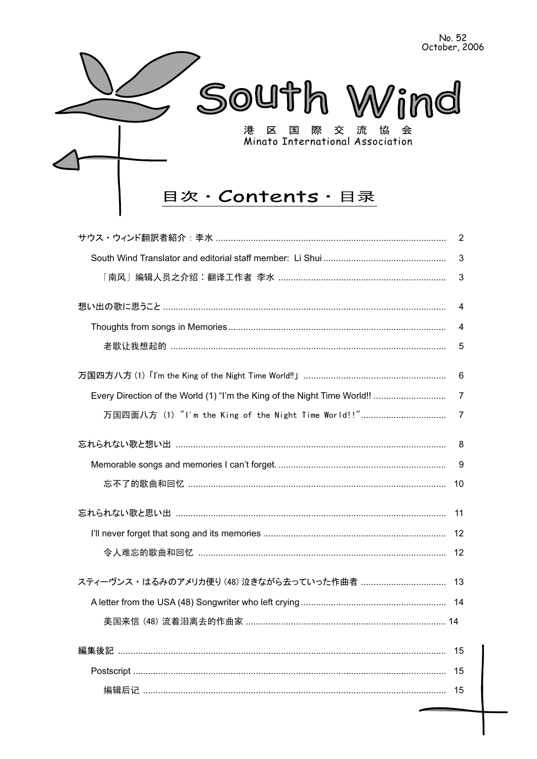No. 52<br>October, 2006



|                                                                          | 2               |
|--------------------------------------------------------------------------|-----------------|
|                                                                          | 3               |
|                                                                          | $\sqrt{3}$      |
|                                                                          | 4               |
|                                                                          | 4               |
|                                                                          | 5               |
| 万国四方八方 (1)「I'm the King of the Night Time World!!」 …………………………………………………   | $6\phantom{1}6$ |
| Every Direction of the World (1) "I'm the King of the Night Time World!! | $\overline{7}$  |
| 万国四面八方 (1) "I'm the King of the Night Time World!!"                      | $\overline{7}$  |
|                                                                          | 8               |
|                                                                          | 9               |
|                                                                          | 10              |
|                                                                          | 11              |
|                                                                          |                 |
|                                                                          | 12              |
|                                                                          |                 |
|                                                                          |                 |
|                                                                          |                 |
|                                                                          |                 |
|                                                                          |                 |
|                                                                          |                 |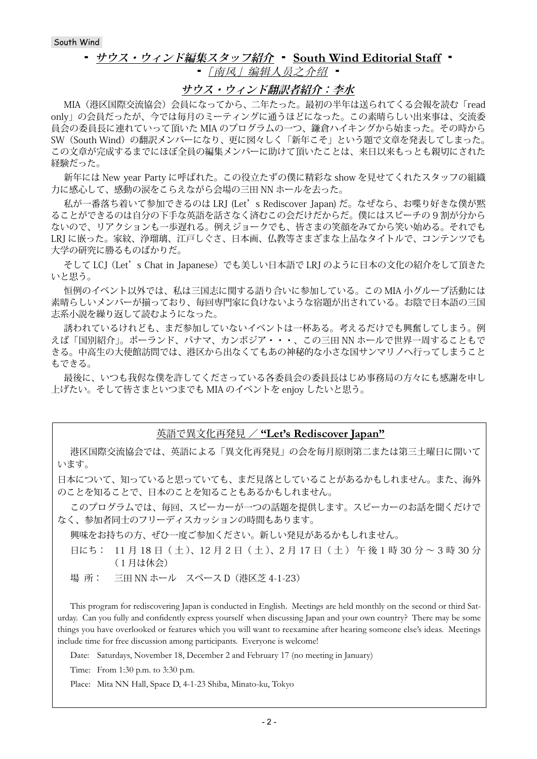South Wind

# **▪ サウス・ウィンド編集スタッフ紹介 ▪ South Wind Editorial Staff** ▪

■ 「南风」编辑人员之介绍 ■

# **サウス・ウィンド翻訳者紹介:李水**

MIA (港区国際交流協会)会員になってから、二年たった。最初の半年は送られてくる会報を読む「read only」の会員だったが、今では毎月のミーティングに通うほどになった。この素晴らしい出来事は、交流委 員会の委員長に連れていって頂いた MIA のプログラムの一つ、鎌倉ハイキングから始まった。その時から SW (South Wind) の翻訳メンバーになり、更に図々しく「新年こそ」という題で文章を発表してしまった。 この文章が完成するまでにほぼ全員の編集メンバーに助けて頂いたことは、来日以来もっとも親切にされた 経験だった。

新年には New year Party に呼ばれた。この役立たずの僕に精彩な show を見せてくれたスタッフの組織 力に感心して、感動の涙をこらえながら会場の三田 NN ホールを去った。

私が一番落ち着いて参加できるのは LRJ (Let's Rediscover Japan) だ。なぜなら、お喋り好きな僕が黙 ることができるのは自分の下手な英語を話さなく済むこの会だけだからだ。僕にはスピーチの 9 割が分から ないので、リアクションも一歩遅れる。例えジョークでも、皆さまの笑顔をみてから笑い始める。それでも LRJ に嵌った。家紋、浄瑠璃、江戸しぐさ、日本画、仏教等さまざまな上品なタイトルで、コンテンツでも 大学の研究に勝るものばかりだ。

そして LCJ (Let's Chat in Japanese)でも美しい日本語で LRJ のように日本の文化の紹介をして頂きた いと思う。

恒例のイベント以外では、私は三国志に関する語り合いに参加している。この MIA 小グループ活動には 素晴らしいメンバーが揃っており、毎回専門家に負けないような宿題が出されている。お陰で日本語の三国 志系小説を繰り返して読むようになった。

誘われているけれども、まだ参加していないイベントは一杯ある。考えるだけでも興奮してしまう。例 えば「国別紹介」。ポーランド、パナマ、カンボジア・・・、この三田 NN ホールで世界一周することもで きる。中高生の大使館訪問では、港区から出なくてもあの神秘的な小さな国サンマリノへ行ってしまうこと もできる。

最後に、いつも我侭な僕を許してくださっている各委員会の委員長はじめ事務局の方々にも感謝を申し 上げたい。そして皆さまといつまでも MIA のイベントを enjoy したいと思う。

## 英語で異文化再発見 / **"Let's Rediscover Japan"**

港区国際交流協会では、英語による「異文化再発見」の会を毎月原則第二または第三土曜日に開いて います。

日本について、知っていると思っていても、まだ見落としていることがあるかもしれません。また、海外 のことを知ることで、日本のことを知ることもあるかもしれません。

このプログラムでは、毎回、スピーカーが一つの話題を提供します。スピーカーのお話を聞くだけで なく、参加者同士のフリーディスカッションの時間もあります。

興味をお持ちの方、ぜひ一度ご参加ください。新しい発見があるかもしれません。

日にち: 11月18日 (土)、12月2日 (土)、2月17日 (土) 午後1時30分~3時30分 (1月は休会)

場 所: 三田 NN ホール スペース D(港区芝 4-1-23)

This program for rediscovering Japan is conducted in English. Meetings are held monthly on the second or third Saturday. Can you fully and confidently express yourself when discussing Japan and your own country? There may be some things you have overlooked or features which you will want to reexamine after hearing someone else's ideas. Meetings include time for free discussion among participants. Everyone is welcome!

Date: Saturdays, November 18, December 2 and February 17 (no meeting in January)

Time: From 1:30 p.m. to 3:30 p.m.

Place: Mita NN Hall, Space D, 4-1-23 Shiba, Minato-ku, Tokyo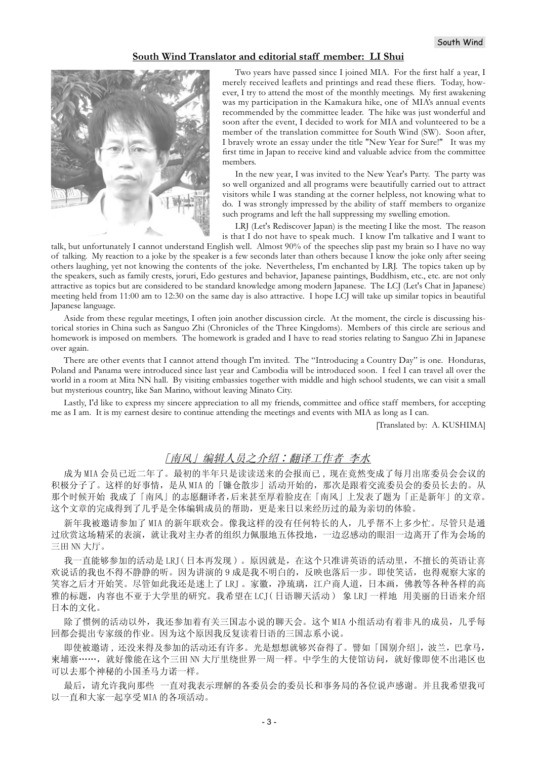#### **South Wind Translator and editorial staff member: LI Shui**



Two years have passed since I joined MIA. For the first half a year, I merely received leaflets and printings and read these fliers. Today, however, I try to attend the most of the monthly meetings. My first awakening was my participation in the Kamakura hike, one of MIA's annual events recommended by the committee leader. The hike was just wonderful and soon after the event, I decided to work for MIA and volunteered to be a member of the translation committee for South Wind (SW). Soon after, I bravely wrote an essay under the title "New Year for Sure!" It was my first time in Japan to receive kind and valuable advice from the committee members.

In the new year, I was invited to the New Year's Party. The party was so well organized and all programs were beautifully carried out to attract visitors while I was standing at the corner helpless, not knowing what to do. I was strongly impressed by the ability of staff members to organize such programs and left the hall suppressing my swelling emotion.

LRJ (Let's Rediscover Japan) is the meeting I like the most. The reason is that I do not have to speak much. I know I'm talkative and I want to

talk, but unfortunately I cannot understand English well. Almost 90% of the speeches slip past my brain so I have no way of talking. My reaction to a joke by the speaker is a few seconds later than others because I know the joke only after seeing others laughing, yet not knowing the contents of the joke. Nevertheless, I'm enchanted by LRJ. The topics taken up by the speakers, such as family crests, joruri, Edo gestures and behavior, Japanese paintings, Buddhism, etc., etc. are not only attractive as topics but are considered to be standard knowledge among modern Japanese. The LCJ (Let's Chat in Japanese) meeting held from 11:00 am to 12:30 on the same day is also attractive. I hope LCJ will take up similar topics in beautiful Japanese language.

Aside from these regular meetings, I often join another discussion circle. At the moment, the circle is discussing historical stories in China such as Sanguo Zhi (Chronicles of the Three Kingdoms). Members of this circle are serious and homework is imposed on members. The homework is graded and I have to read stories relating to Sanguo Zhi in Japanese over again.

There are other events that I cannot attend though I'm invited. The "Introducing a Country Day" is one. Honduras, Poland and Panama were introduced since last year and Cambodia will be introduced soon. I feel I can travel all over the world in a room at Mita NN hall. By visiting embassies together with middle and high school students, we can visit a small but mysterious country, like San Marino, without leaving Minato City.

Lastly, I'd like to express my sincere appreciation to all my friends, committee and office staff members, for accepting me as I am. It is my earnest desire to continue attending the meetings and events with MIA as long as I can.

[Translated by: A. KUSHIMA]

## 「南风」编辑人员之介绍:翻译工作者 李水

成为 MIA 会员已近二年了。最初的半年只是读读送来的会报而已, 现在竟然变成了每月出席委员会会议的 积极分子了。这样的好事情, 是从 MIA 的「镰仓散步」活动开始的, 那次是跟着交流委员会的委员长去的。从 那个时候开始 我成了「南风」的志愿翻译者,后来甚至厚着脸皮在「南风」上发表了题为「正是新年」的文章。 这个文章的完成得到了几乎是全体编辑成员的帮助,更是来日以来经历过的最为亲切的体验。

新年我被邀请参加了 MIA 的新年联欢会。像我这样的没有任何特长的人,几乎帮不上多少忙。尽管只是通 过欣赏这场精采的表演, 就让我对主办者的组织力佩服地五体投地, 一边忍感动的眼泪一边离开了作为会场的 三田 NN 大厅。

我一直能够参加的活动是 LRT(日本再发现)。原因就是, 在这个只准讲英语的活动里, 不擅长的英语让喜 欢说话的我也不得不静静的听。因为讲演的9成是我不明白的,反映也落后一步。即使笑话,也得观察大家的 笑容之后才开始笑。尽管如此我还是迷上了 LRJ 。家徽,净琉璃,江户商人道,日本画,佛教等各种各样的高 雅的标题,内容也不亚于大学里的研究。我希望在 LCJ(日语聊天活动) 象 LRJ 一样地 用美丽的日语来介绍 日本的文化。

除了惯例的活动以外,我还参加着有关三国志小说的聊天会。这个MIA 小组活动有着非凡的成员,凡乎每 回都会提出专家级的作业。因为这个原因我反复读着日语的三国志系小说。

即使被邀请,还没来得及参加的活动还有许多。光是想想就够兴奋得了。譬如「国别介绍」, 波兰, 巴拿马, 柬埔寨……, 就好像能在这个三田 NN 大厅里绕世界一周一样。中学生的大使馆访问, 就好像即使不出港区也 可以去那个神秘的小国圣马力诺一样。

最后,请允许我向那些一官对我表示理解的各委员会的委员长和事务局的各位说声感谢。并且我希望我可 以一直和大家一起享受 MIA 的各项活动。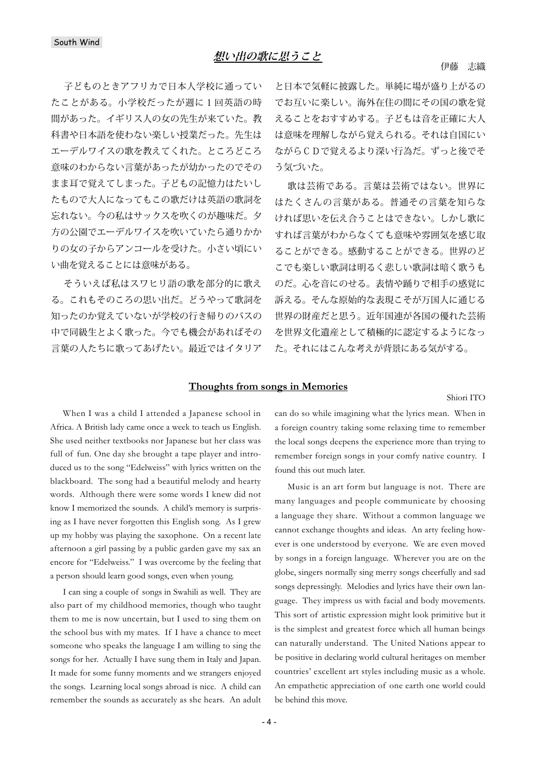# **想い出の歌に思うこと**

子どものときアフリカで日本人学校に通ってい たことがある。小学校だったが週に 1 回英語の時 間があった。イギリス人の女の先生が来ていた。教 科書や日本語を使わない楽しい授業だった。先生は エーデルワイスの歌を教えてくれた。ところどころ 意味のわからない言葉があったが幼かったのでその まま耳で覚えてしまった。子どもの記憶力はたいし たもので大人になってもこの歌だけは英語の歌詞を 忘れない。今の私はサックスを吹くのが趣味だ。夕 方の公園でエーデルワイスを吹いていたら通りかか りの女の子からアンコールを受けた。小さい頃にい い曲を覚えることには意味がある。

そういえば私はスワヒリ語の歌を部分的に歌え る。これもそのころの思い出だ。どうやって歌詞を 知ったのか覚えていないが学校の行き帰りのバスの 中で同級生とよく歌った。今でも機会があればその 言葉の人たちに歌ってあげたい。最近ではイタリア と日本で気軽に披露した。単純に場が盛り上がるの でお互いに楽しい。海外在住の間にその国の歌を覚 えることをおすすめする。子どもは音を正確に大人 は意味を理解しながら覚えられる。それは自国にい ながらCDで覚えるより深い行為だ。ずっと後でそ う気づいた。

歌は芸術である。言葉は芸術ではない。世界に はたくさんの言葉がある。普通その言葉を知らな ければ思いを伝え合うことはできない。しかし歌に すれば言葉がわからなくても意味や雰囲気を感じ取 ることができる。感動することができる。世界のど こでも楽しい歌詞は明るく悲しい歌詞は暗く歌うも のだ。心を音にのせる。表情や踊りで相手の感覚に 訴える。そんな原始的な表現こそが万国人に通じる 世界の財産だと思う。近年国連が各国の優れた芸術 を世界文化遺産として積極的に認定するようになっ た。それにはこんな考えが背景にある気がする。

#### **Thoughts from songs in Memories**

Shiori ITO

When I was a child I attended a Japanese school in Africa. A British lady came once a week to teach us English. She used neither textbooks nor Japanese but her class was full of fun. One day she brought a tape player and introduced us to the song "Edelweiss" with lyrics written on the blackboard. The song had a beautiful melody and hearty words. Although there were some words I knew did not know I memorized the sounds. A child's memory is surprising as I have never forgotten this English song. As I grew up my hobby was playing the saxophone. On a recent late afternoon a girl passing by a public garden gave my sax an encore for "Edelweiss." I was overcome by the feeling that a person should learn good songs, even when young.

I can sing a couple of songs in Swahili as well. They are also part of my childhood memories, though who taught them to me is now uncertain, but I used to sing them on the school bus with my mates. If I have a chance to meet someone who speaks the language I am willing to sing the songs for her. Actually I have sung them in Italy and Japan. It made for some funny moments and we strangers enjoyed the songs. Learning local songs abroad is nice. A child can remember the sounds as accurately as she hears. An adult

can do so while imagining what the lyrics mean. When in a foreign country taking some relaxing time to remember the local songs deepens the experience more than trying to remember foreign songs in your comfy native country. I found this out much later.

Music is an art form but language is not. There are many languages and people communicate by choosing a language they share. Without a common language we cannot exchange thoughts and ideas. An arty feeling however is one understood by everyone. We are even moved by songs in a foreign language. Wherever you are on the globe, singers normally sing merry songs cheerfully and sad songs depressingly. Melodies and lyrics have their own language. They impress us with facial and body movements. This sort of artistic expression might look primitive but it is the simplest and greatest force which all human beings can naturally understand. The United Nations appear to be positive in declaring world cultural heritages on member countries' excellent art styles including music as a whole. An empathetic appreciation of one earth one world could be behind this move.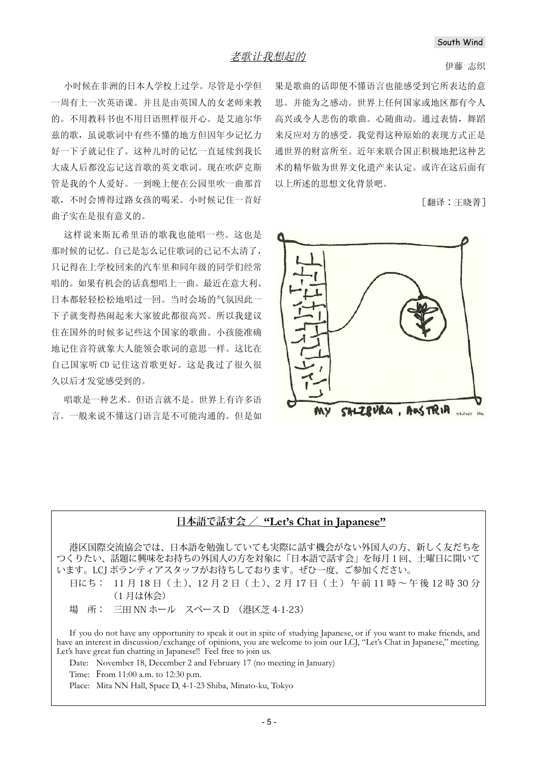## 老歌让我想起的

#### 伊藤 志织

小时候在非洲的日本人学校上过学。尽管是小学但 一周有上一次英语课。并且是由英国人的女老师来教 的。不用教科书也不用日语照样很开心。是艾迪尔华 兹的歌,虽说歌词中有些不懂的地方但因年少记忆力 好一下子就记住了。这种儿时的记忆一直延续到我长 大成人后都没忘记这首歌的英文歌词。现在吹萨克斯 管是我的个人爱好。一到晚上便在公园里吹一曲那首 歌,不时会博得过路女孩的喝采。小时候记住一首好 曲子实在是很有意义的。

这样说来斯瓦希里语的歌我也能唱一些。这也是 那时候的记忆。自己是怎么记住歌词的已记不太清了, 只记得在上学校回来的汽车里和同年级的同学们经常 唱的。如果有机会的话真想唱十一曲。最近在意大利、 日本都轻轻松松地唱过一回。当时会场的气氛因此一 下子就变得热闹起来大家彼此都很高兴。所以我建议 住在国外的时候多记些这个国家的歌曲。小孩能准确 地记住音符就象大人能领会歌词的意思一样。这比在 自己国家听 CD 记住这首歌更好。这是我过了很久很 久以后才发觉感受到的。

唱歌是一种艺术。但语言就不是。世界上有许多语 言。一般来说不懂这门语言是不可能沟通的。但是如

果是歌曲的话即便不懂语言也能感受到它所表达的意 思。并能为之感动。世界上任何国家或地区都有今人 高兴或令人悲伤的歌曲。心随曲动。通过表情, 舞蹈 来反应对方的感受。我觉得这种原始的表现方式正是 通世界的财富所至。近年来联合国正积极地把这种艺 术的精华做为世界文化遗产来认定。或许在这后面有 以上所述的思想文化背景吧。

[翻译:王晓菁]



# **日本語で話す会 / "Let's Chat in Japanese"**

港区国際交流協会では、日本語を勉強していても実際に話す機会がない外国人の方、新しく友だちを つくりたい、話題に興味をお持ちの外国人の方を対象に「日本語で話す会」を毎月1回、土曜日に開いて います。LCJ ボランティアスタッフがお待ちしております。ぜひ一度、ご参加ください。

日にち: 11月18日 (土)、12月2日 (土)、2月17日 (土) 午前11時~午後12時30分 (1 月は休会)

場 所: 三田 NN ホール スペース D (港区芝 4-1-23)

If you do not have any opportunity to speak it out in spite of studying Japanese, or if you want to make friends, and have an interest in discussion/exchange of opinions, you are welcome to join our LCJ, "Let's Chat in Japanese," meeting. Let's have great fun chatting in Japanese!! Feel free to join us.

Date: November 18, December 2 and February 17 (no meeting in January)

Time: From 11:00 a.m. to 12:30 p.m.

Place: Mita NN Hall, Space D, 4-1-23 Shiba, Minato-ku, Tokyo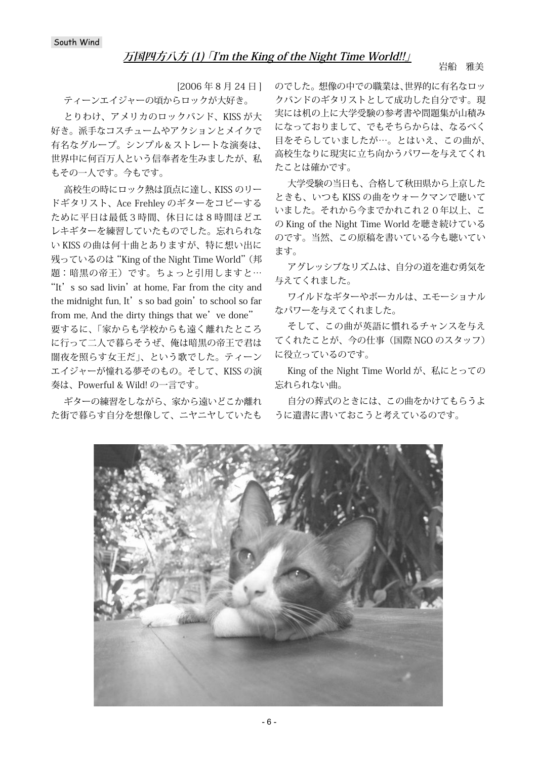# **万国四方八方 (1) 「I'm the King of the Night Time World!!」** 岩船 雅美

[2006 年 8 月 24 日 ] ティーンエイジャーの頃からロックが大好き。

とりわけ、アメリカのロックバンド、KISS が大 好き。派手なコスチュームやアクションとメイクで 有名なグループ。シンプル&ストレートな演奏は、 世界中に何百万人という信奉者を生みましたが、私 もその一人です。今もです。

高校生の時にロック熱は頂点に達し、KISS のリー ドギタリスト、Ace Frehley のギターをコピーする ために平日は最低3時間、休日には8時間ほどエ レキギターを練習していたものでした。忘れられな い KISS の曲は何十曲とありますが、特に想い出に 残っているのは "King of the Night Time World" (邦 題:暗黒の帝王)です。ちょっと引用しますと… "It's so sad livin' at home, Far from the city and the midnight fun, It's so bad goin' to school so far from me, And the dirty things that we've done" 要するに、「家からも学校からも遠く離れたところ に行って二人で暮らそうぜ、俺は暗黒の帝王で君は 闇夜を照らす女王だ」、という歌でした。ティーン

エイジャーが憧れる夢そのもの。そして、KISS の演 奏は、Powerful & Wild! の一言です。 ギターの練習をしながら、家から遠いどこか離れ

た街で暮らす自分を想像して、ニヤニヤしていたも

のでした。想像の中での職業は、世界的に有名なロッ クバンドのギタリストとして成功した自分です。現 実には机の上に大学受験の参考書や問題集が山積み になっておりまして、でもそちらからは、なるべく 目をそらしていましたが…。とはいえ、この曲が、 高校生なりに現実に立ち向かうパワーを与えてくれ たことは確かです。

大学受験の当日も、合格して秋田県から上京した ときも、いつも KISS の曲をウォークマンで聴いて いました。それから今までかれこれ20年以上、こ の King of the Night Time World を聴き続けている のです。当然、この原稿を書いている今も聴いてい ます。

アグレッシブなリズムは、自分の道を進む勇気を 与えてくれました。

ワイルドなギターやボーカルは、エモーショナル なパワーを与えてくれました。

そして、この曲が英語に慣れるチャンスを与え てくれたことが、今の仕事(国際 NGO のスタッフ) に役立っているのです。

King of the Night Time World が、私にとっての 忘れられない曲。

自分の葬式のときには、この曲をかけてもらうよ うに遺書に書いておこうと考えているのです。

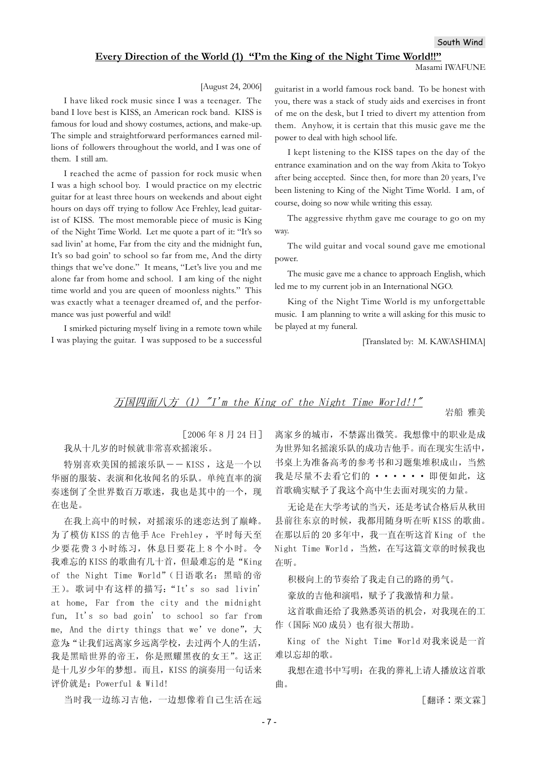## **Every Direction of the World (1) "I'm the King of the Night Time World!!"**

[August 24, 2006]

I have liked rock music since I was a teenager. The band I love best is KISS, an American rock band. KISS is famous for loud and showy costumes, actions, and make-up. The simple and straightforward performances earned millions of followers throughout the world, and I was one of them. I still am.

I reached the acme of passion for rock music when I was a high school boy. I would practice on my electric guitar for at least three hours on weekends and about eight hours on days off trying to follow Ace Frehley, lead guitarist of KISS. The most memorable piece of music is King of the Night Time World. Let me quote a part of it: "It's so sad livin' at home, Far from the city and the midnight fun, It's so bad goin' to school so far from me, And the dirty things that we've done." It means, "Let's live you and me alone far from home and school. I am king of the night time world and you are queen of moonless nights." This was exactly what a teenager dreamed of, and the performance was just powerful and wild!

I smirked picturing myself living in a remote town while I was playing the guitar. I was supposed to be a successful guitarist in a world famous rock band. To be honest with you, there was a stack of study aids and exercises in front of me on the desk, but I tried to divert my attention from them. Anyhow, it is certain that this music gave me the power to deal with high school life.

I kept listening to the KISS tapes on the day of the entrance examination and on the way from Akita to Tokyo after being accepted. Since then, for more than 20 years, I've been listening to King of the Night Time World. I am, of course, doing so now while writing this essay.

The aggressive rhythm gave me courage to go on my way.

The wild guitar and vocal sound gave me emotional power.

The music gave me a chance to approach English, which led me to my current job in an International NGO.

King of the Night Time World is my unforgettable music. I am planning to write a will asking for this music to be played at my funeral.

[Translated by: M. KAWASHIMA]

## $\overline{J}$ 国四面八方 (1) "I'm the King of the Night Time World!!"

岩船 雅美

 $[2006 \, 48 \, 8 \, 1]$ 我从十几岁的时候就非常喜欢摇滚乐。

特别喜欢美国的摇滚乐队--KISS, 这是一个以 华丽的服装、表演和化妆闻名的乐队。单纯直率的演 奏迷倒了全世界数百万歌迷,我也是其中的一个,现 在也是。

在我上高中的时候, 对摇滚乐的迷恋达到了巅峰。 为了模仿 KISS 的吉他手 Ace Frehley, 平时每天至 少要花费3小时练习, 休息日要花上8个小时。令 我难忘的 KISS 的歌曲有几十首, 但最难忘的是"King of the Night Time World" (日语歌名: 黑暗的帝 王)。歌词中有这样的描写:"It's so sad livin' at home, Far from the city and the midnight fun, It's so bad goin' to school so far from me, And the dirty things that we've done",  $\pm$ 意为: "让我们远离家乡远离学校, 去过两个人的生活, 我是黑暗世界的帝王, 你是照耀黑夜的女王"。这正 是十几岁少年的梦想。而且, KISS 的演奏用一句话来 评价就是: Powerful & Wild!

离家乡的城市, 不禁露出微笑。我想像中的职业是成 为世界知名摇滚乐队的成功吉他手。而在现实生活中, 书桌上为准备高考的参考书和习题集堆积成山, 当然 我是尽量不去看它们的 ••••• 即便如此, 这 首歌确实赋予了我这个高中生去面对现实的力量。

无论是在大学考试的当天, 还是考试合格后从秋田 县前往东京的时候, 我都用随身听在听 KISS 的歌曲。 在那以后的 20 多年中, 我一直在听这首 King of the Night Time World, 当然, 在写这篇文章的时候我也 在听。

积极向上的节奏给了我走自己的路的勇气。

豪放的吉他和演唱,赋予了我激情和力量。

这首歌曲还给了我熟悉英语的机会, 对我现在的工 作(国际 NGO 成员)也有很大帮助。

King of the Night Time World 对我来说是一首 难以忘却的歌。

我想在遗书中写明: 在我的葬礼上请人播放这首歌 曲。

[翻译:栗文霖]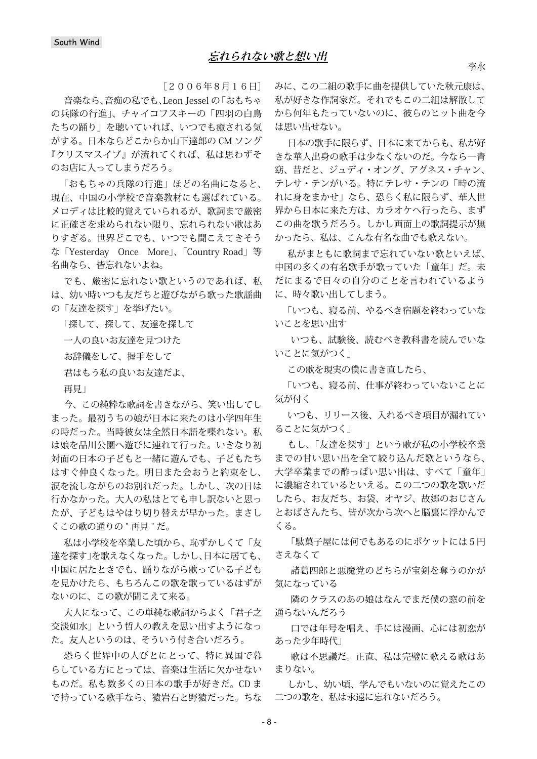[2006年8月16日]

音楽なら、音痴の私でも、Leon Jessel の「おもちゃ の兵隊の行進」、チャイコフスキーの「四羽の白鳥 たちの踊り」を聴いていれば、いつでも癒される気 がする。日本ならどこからか山下達郎の CM ソング 『クリスマスイブ』が流れてくれば、私は思わずそ のお店に入ってしまうだろう。

「おもちゃの兵隊の行進」ほどの名曲になると、 現在、中国の小学校で音楽教材にも選ばれている。 メロディは比較的覚えていられるが、歌詞まで厳密 に正確さを求められない限り、忘れられない歌はあ りすぎる。世界どこでも、いつでも聞こえてきそう な「Yesterday Once More」、「Country Road」等 名曲なら、皆忘れないよね。

でも、厳密に忘れない歌というのであれば、私 は、幼い時いつも友だちと遊びながら歌った歌謡曲 の「友達を探す」を挙げたい。

「探して、探して、友達を探して

一人の良いお友達を見つけた

お辞儀をして、握手をして

君はもう私の良いお友達だよ、

再見」

今、この純粋な歌詞を書きながら、笑い出してし まった。最初うちの娘が日本に来たのは小学四年生 の時だった。当時彼女は全然日本語を喋れない。私 は娘を品川公園へ遊びに連れて行った。いきなり初 対面の日本の子どもと一緒に遊んでも、子どもたち はすぐ仲良くなった。明日また会おうと約束をし、 涙を流しながらのお別れだった。しかし、次の日は 行かなかった。大人の私はとても申し訳ないと思っ たが、子どもはやはり切り替えが早かった。まさし くこの歌の通りの " 再見 " だ。

私は小学校を卒業した頃から、恥ずかしくて「友 達を探す」を歌えなくなった。しかし、日本に居ても、 中国に居たときでも、踊りながら歌っている子ども を見かけたら、もちろんこの歌を歌っているはずが ないのに、この歌が聞こえて来る。

大人になって、この単純な歌詞からよく「君子之 交淡如水」という哲人の教えを思い出すようになっ た。友人というのは、そういう付き合いだろう。

恐らく世界中の人びとにとって、特に異国で暮 らしている方にとっては、音楽は生活に欠かせない ものだ。私も数多くの日本の歌手が好きだ。CD ま で持っている歌手なら、猿岩石と野猿だった。ちな みに、この二組の歌手に曲を提供していた秋元康は、 私が好きな作詞家だ。それでもこの二組は解散して から何年もたっていないのに、彼らのヒット曲を今 は思い出せない。

日本の歌手に限らず、日本に来てからも、私が好 きな華人出身の歌手は少なくないのだ。今なら一青 窈、昔だと、ジュディ・オング、アグネス・チャン、 テレサ・テンがいる。特にテレサ・テンの「時の流 れに身をまかせ」なら、恐らく私に限らず、華人世 界から日本に来た方は、カラオケへ行ったら、まず この曲を歌うだろう。しかし画面上の歌詞提示が無 かったら、私は、こんな有名な曲でも歌えない。

私がまともに歌詞まで忘れていない歌といえば、 中国の多くの有名歌手が歌っていた「童年」だ。未 だにまるで日々の自分のことを言われているよう に、時々歌い出してしまう。

「いつも、寝る前、やるべき宿題を終わっていな いことを思い出す

 いつも、試験後、読むべき教科書を読んでいな いことに気がつく」

この歌を現実の僕に書き直したら、

「いつも、寝る前、仕事が終わっていないことに 気が付く

いつも、リリース後、入れるべき項目が漏れてい ることに気がつく」

もし、「友達を探す」という歌が私の小学校卒業 までの甘い思い出を全て絞り込んだ歌というなら、 大学卒業までの酢っぱい思い出は、すべて「童年」 に濃縮されているといえる。この二つの歌を歌いだ したら、お友だち、お袋、オヤジ、故郷のおじさん とおばさんたち、皆が次から次へと脳裏に浮かんで くる。

「駄菓子屋には何でもあるのにポケットには5円 さえなくて

 諸葛四郎と悪魔党のどちらが宝剣を奪うのかが 気になっている

 隣のクラスのあの娘はなんでまだ僕の窓の前を 通らないんだろう

 口では年号を唱え、手には漫画、心には初恋が あった少年時代」

 歌は不思議だ。正直、私は完璧に歌える歌はあ まりない。

しかし、幼い頃、学んでもいないのに覚えたこの 二つの歌を、私は永遠に忘れないだろう。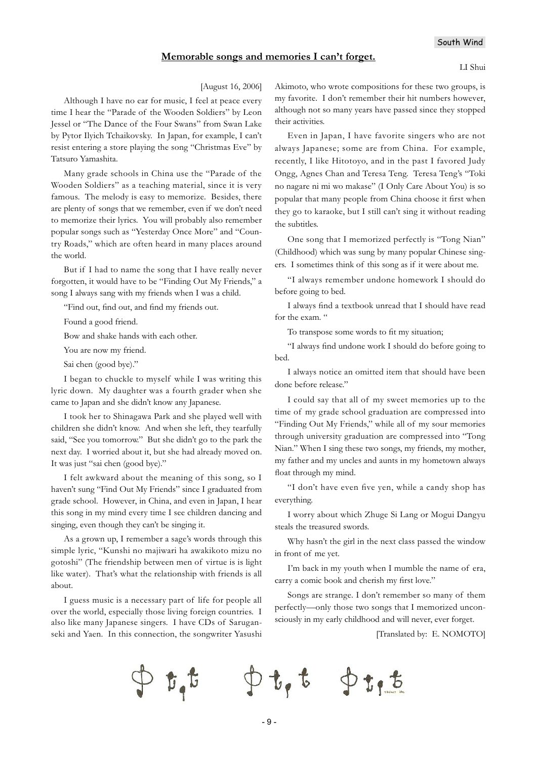#### **Memorable songs and memories I can't forget.**

[August 16, 2006]

Although I have no ear for music, I feel at peace every time I hear the "Parade of the Wooden Soldiers" by Leon Jessel or "The Dance of the Four Swans" from Swan Lake by Pytor Ilyich Tchaikovsky. In Japan, for example, I can't resist entering a store playing the song "Christmas Eve" by Tatsuro Yamashita.

Many grade schools in China use the "Parade of the Wooden Soldiers" as a teaching material, since it is very famous. The melody is easy to memorize. Besides, there are plenty of songs that we remember, even if we don't need to memorize their lyrics. You will probably also remember popular songs such as "Yesterday Once More" and "Country Roads," which are often heard in many places around the world.

But if I had to name the song that I have really never forgotten, it would have to be "Finding Out My Friends," a song I always sang with my friends when I was a child.

"Find out, find out, and find my friends out.

Found a good friend.

Bow and shake hands with each other.

You are now my friend.

Sai chen (good bye)."

I began to chuckle to myself while I was writing this lyric down. My daughter was a fourth grader when she came to Japan and she didn't know any Japanese.

I took her to Shinagawa Park and she played well with children she didn't know. And when she left, they tearfully said, "See you tomorrow." But she didn't go to the park the next day. I worried about it, but she had already moved on. It was just "sai chen (good bye)."

I felt awkward about the meaning of this song, so I haven't sung "Find Out My Friends" since I graduated from grade school. However, in China, and even in Japan, I hear this song in my mind every time I see children dancing and singing, even though they can't be singing it.

As a grown up, I remember a sage's words through this simple lyric, "Kunshi no majiwari ha awakikoto mizu no gotoshi" (The friendship between men of virtue is is light like water). That's what the relationship with friends is all about.

I guess music is a necessary part of life for people all over the world, especially those living foreign countries. I also like many Japanese singers. I have CDs of Saruganseki and Yaen. In this connection, the songwriter Yasushi Akimoto, who wrote compositions for these two groups, is my favorite. I don't remember their hit numbers however, although not so many years have passed since they stopped their activities.

Even in Japan, I have favorite singers who are not always Japanese; some are from China. For example, recently, I like Hitotoyo, and in the past I favored Judy Ongg, Agnes Chan and Teresa Teng. Teresa Teng's "Toki no nagare ni mi wo makase" (I Only Care About You) is so popular that many people from China choose it first when they go to karaoke, but I still can't sing it without reading the subtitles.

One song that I memorized perfectly is "Tong Nian" (Childhood) which was sung by many popular Chinese singers. I sometimes think of this song as if it were about me.

"I always remember undone homework I should do before going to bed.

I always find a textbook unread that I should have read for the exam. "

To transpose some words to fit my situation;

"I always find undone work I should do before going to bed.

I always notice an omitted item that should have been done before release."

I could say that all of my sweet memories up to the time of my grade school graduation are compressed into "Finding Out My Friends," while all of my sour memories through university graduation are compressed into "Tong Nian." When I sing these two songs, my friends, my mother, my father and my uncles and aunts in my hometown always float through my mind.

"I don't have even five yen, while a candy shop has everything.

I worry about which Zhuge Si Lang or Mogui Dangyu steals the treasured swords.

Why hasn't the girl in the next class passed the window in front of me yet.

I'm back in my youth when I mumble the name of era, carry a comic book and cherish my first love."

Songs are strange. I don't remember so many of them perfectly—only those two songs that I memorized unconsciously in my early childhood and will never, ever forget.

[Translated by: E. NOMOTO]

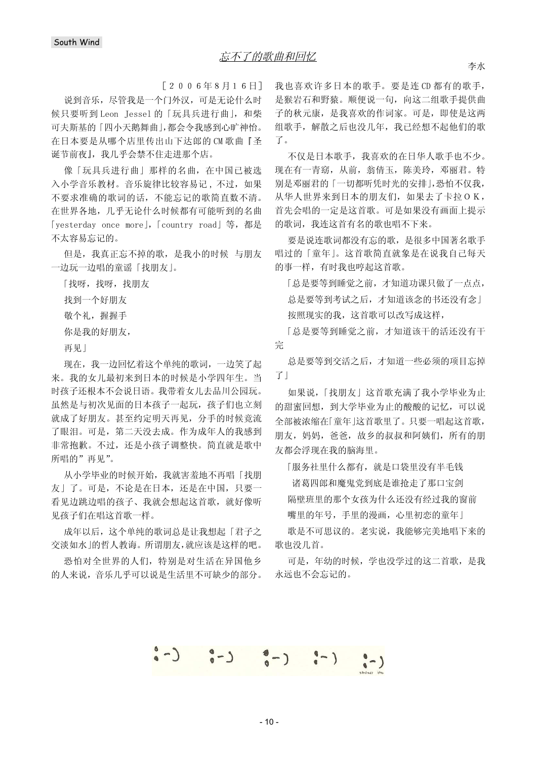$[2006年8月16日]$ 

说到音乐, 尽管我是一个门外汉, 可是无论什么时 候只要听到 Leon Jessel 的「玩具兵进行曲」, 和柴 可夫斯基的「四小天鹅舞曲」,都会今我感到心旷神怡。 在日本要是从哪个店里传出山下达郎的 CM 歌曲『圣 诞节前夜 |, 我几乎会禁不住走讲那个店。

像「玩具兵进行曲」那样的名曲, 在中国已被选 入小学音乐教材。音乐旋律比较容易记, 不过, 如果 不要求准确的歌词的话,不能忘记的歌简直数不清。 在世界各地,几乎无论什么时候都有可能听到的名曲 [yesterday once more], [country road] 等, 都是 不太容易忘记的。

但是, 我真正忘不掉的歌, 是我小的时候 与朋友 一边玩一边唱的童谣「找朋友」。

[找呀, 找朋友

找到一个好朋友

敬个礼, 握握手

你是我的好朋友,

再见」

现在, 我一边回忆着这个单纯的歌词, 一边笑了起 来。我的女儿最初来到日本的时候是小学四年生。当 时孩子还根本不会说日语。我带着女儿夫品川公园玩。 虽然是与初次见面的日本孩子一起玩, 孩子们也立刻 就成了好朋友。甚至约定明天再见, 分手的时候竟流 了眼泪。可是, 第二天没去成。作为成年人的我感到 非常抱歉。不过, 还是小孩子调整快。简直就是歌中 所唱的"再见"。

从小学毕业的时候开始, 我就害羞地不再唱「找朋 友」了。可是,不论是在日本,还是在中国,只要一 看见边跳边唱的孩子、我就会想起这首歌, 就好像听 见孩子们在唱这首歌一样。

成年以后, 这个单纯的歌词总是让我想起「君子之 交淡如水」的哲人教诲。所谓朋友,就应该是这样的吧。

恐怕对全世界的人们,特别是对生活在异国他乡 的人来说,音乐几乎可以说是生活里不可缺少的部分。 我也喜欢许多日本的歌手。要是连CD都有的歌手, 是猴岩石和野猿。顺便说一句, 向这二组歌手提供曲 子的秋元康, 是我喜欢的作词家。可是, 即使是这两 组歌手,解散之后也没几年,我已经想不起他们的歌  $\mathcal{T}$ 。

不仅是日本歌手,我喜欢的在日华人歌手也不少。 现在有一青窈, 从前, 翁倩玉, 陈美玲, 邓丽君。特 别是邓丽君的「一切都听凭时光的安排」,恐怕不仅我, 从华人世界来到日本的朋友们, 如果去了卡拉OK, 首先会唱的一定是这首歌。可是如果没有画面上提示 的歌词, 我连这首有名的歌也唱不下来。

要是说连歌词都没有忘的歌,是很多中国著名歌手 唱讨的「童年」。这首歌简直就象是在说我自己每天 的事一样,有时我也哼起这首歌。

[总是要等到睡觉之前,才知道功课只做了一点点, 总是要等到考试之后,才知道该念的书还没有念」

按照现实的我,这首歌可以改写成这样,

「总是要等到睡觉之前,才知道该干的活还没有干 宗

总是要等到交活之后,才知道一些必须的项目忘掉  $T|$ 

如果说,「找朋友」这首歌充满了我小学毕业为止 的甜蜜回想, 到大学毕业为止的酸酸的记忆, 可以说 全部被浓缩在[ 童年 ]这首歌里了。只要一唱起这首歌, 朋友,妈妈,爸爸,故乡的叔叔和阿姨们,所有的朋 友都会浮现在我的脑海里。

「服务社里什么都有, 就是口袋里没有半毛钱

诸葛四郎和魔鬼党到底是谁抢走了那口宝剑

隔壁班里的那个女孩为什么还没有经过我的窗前

嘴里的年号,手里的漫画,心里初恋的童年

歌是不可思议的。老实说,我能够完美地唱下来的 歌也没几首。

可是,年幼的时候,学也没学过的这二首歌,是我 永远也不会忘记的。

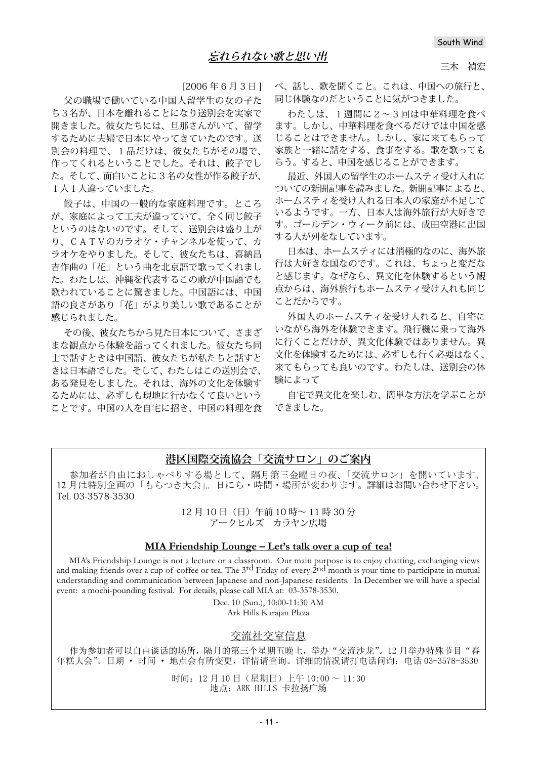[2006 年6月3日]

父の職場で働いている中国人留学生の女の子た ち3名が、日本を離れることになり送別会を実家で 開きました。彼女たちには、旦那さんがいて、留学 するために夫婦で日本にやってきていたのです。送 別会の料理で、1品だけは、彼女たちがその場で、 作ってくれるということでした。それは、餃子でし た。そして、面白いことに 3 名の女性が作る餃子が、 1人1人違っていました。

餃子は、中国の一般的な家庭料理です。ところ が、家庭によって工夫が違っていて、全く同じ餃子 というのはないのです。そして、送別会は盛り上が り、CATVのカラオケ・チャンネルを使って、カ ラオケをやりました。そして、彼女たちは、喜納昌 吉作曲の「花」という曲を北京語で歌ってくれまし た。わたしは、沖縄を代表するこの歌が中国語でも 歌われていることに驚きました。中国語には、中国 語の良さがあり「花」がより美しい歌であることが 感じられました。

その後、彼女たちから見た日本について、さまざ まな観点から体験を語ってくれました。彼女たち同 士で話すときは中国語、彼女たちが私たちと話すと きは日本語でした。そして、わたしはこの送別会で、 ある発見をしました。それは、海外の文化を体験す るためには、必ずしも現地に行かなくて良いという ことです。中国の人を自宅に招き、中国の料理を食 べ、話し、歌を聞くこと。これは、中国への旅行と、 同じ体験なのだということに気がつきました。

わたしは、1週間に2~ 3 回は中華料理を食べ ます。しかし、中華料理を食べるだけでは中国を感 じることはできません。しかし、家に来てもらって 家族と一緒に話をする、食事をする。歌を歌っても らう。すると、中国を感じることができます。

最近、外国人の留学生のホームスティ受け入れに ついての新聞記事を読みました。新聞記事によると、 ホームスティを受け入れる日本人の家庭が不足して いるようです。一方、日本人は海外旅行が大好きで す。ゴールデン・ウィーク前には、成田空港に出国 する人が列をなしています。

日本は、ホームスティには消極的なのに、海外旅 行は大好きな国なのです。これは、ちょっと変だな と感じます。なぜなら、異文化を体験するという観 点からは、海外旅行もホームスティ受け入れも同じ ことだからです。

外国人のホームスティを受け入れると、自宅に いながら海外を体験できます。飛行機に乗って海外 に行くことだけが、異文化体験ではありません。異 文化を体験するためには、必ずしも行く必要はなく、 来てもらっても良いのです。わたしは、送別会の体 験によって

自宅で異文化を楽しむ、簡単な方法を学ぶことが できました。

# **港区国際交流協会「交流サロン」のご案内**

参加者が自由におしゃべりする場として、隔月第三金曜日の夜、「交流サロン」を開いています。 12 月は特別企画の「もちつき大会」。日にち・時間・場所が変わります。詳細はお問い合わせ下さい。 Tel. 03-3578-3530

> 12月10日(日)午前10時~11時30分 アークヒルズ カラヤン広場

#### **MIA Friendship Lounge – Let's talk over a cup of tea!**

MIA's Friendship Lounge is not a lecture or a classroom. Our main purpose is to enjoy chatting, exchanging views and making friends over a cup of coffee or tea. The 3<sup>rd</sup> Friday of every 2nd month is your time to participate in mutual understanding and communication between Japanese and non-Japanese residents. In December we will have a special event: a mochi-pounding festival. For details, please call MIA at: 03-3578-3530.

> Dec. 10 (Sun.), 10:00-11:30 AM Ark Hills Karajan Plaza

#### 交流社交室信息

作为参加者可以自由谈话的场所,隔月的第三个星期五晚上,举办"交流沙龙"。12月举办特殊节目"春 年糕大会"。日期 • 时间 • 地点会有所变更,详情请查询。详细的情况请打电话问询: 电话 03-3578-3530

> 时间: 12月10日 (星期日)上午10:00~11:30 地点: ARK HILLS 卡拉扬广场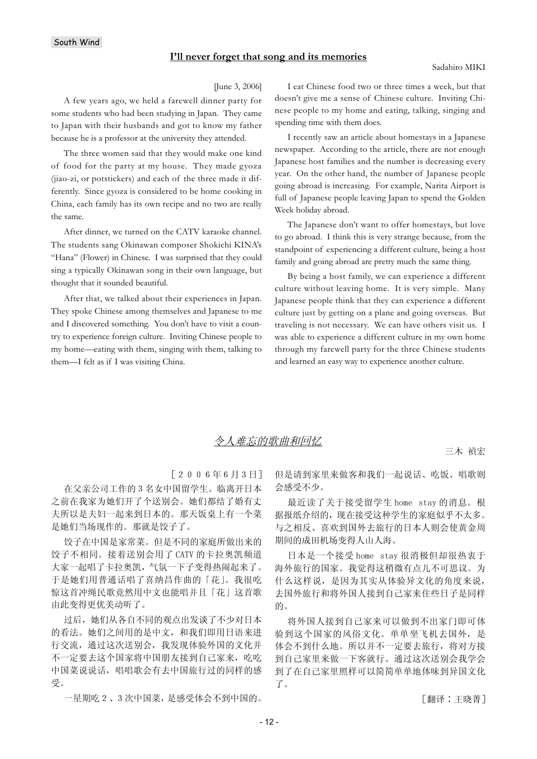#### **I'll never forget that song and its memories**

[June 3, 2006]

A few years ago, we held a farewell dinner party for some students who had been studying in Japan. They came to Japan with their husbands and got to know my father because he is a professor at the university they attended.

The three women said that they would make one kind of food for the party at my house. They made gyoza (jiao-zi, or potstickers) and each of the three made it differently. Since gyoza is considered to be home cooking in China, each family has its own recipe and no two are really the same.

After dinner, we turned on the CATV karaoke channel. The students sang Okinawan composer Shokichi KINA's "Hana" (Flower) in Chinese. I was surprised that they could sing a typically Okinawan song in their own language, but thought that it sounded beautiful.

After that, we talked about their experiences in Japan. They spoke Chinese among themselves and Japanese to me and I discovered something. You don't have to visit a country to experience foreign culture. Inviting Chinese people to my home—eating with them, singing with them, talking to them—I felt as if I was visiting China.

I eat Chinese food two or three times a week, but that doesn't give me a sense of Chinese culture. Inviting Chinese people to my home and eating, talking, singing and spending time with them does.

I recently saw an article about homestays in a Japanese newspaper. According to the article, there are not enough Japanese host families and the number is decreasing every year. On the other hand, the number of Japanese people going abroad is increasing. For example, Narita Airport is full of Japanese people leaving Japan to spend the Golden Week holiday abroad.

The Japanese don't want to offer homestays, but love to go abroad. I think this is very strange because, from the standpoint of experiencing a different culture, being a host family and going abroad are pretty much the same thing.

By being a host family, we can experience a different culture without leaving home. It is very simple. Many Japanese people think that they can experience a different culture just by getting on a plane and going overseas. But traveling is not necessary. We can have others visit us. I was able to experience a different culture in my own home through my farewell party for the three Chinese students and learned an easy way to experience another culture.

## **令人难忘的歌曲和回忆**

#### 三木 禎宏

 $[2006年6月3日]$ 

在父亲公司工作的3名女中国留学生。临离开日本 之前在我家为她们开了个送别会。她们都结了婚有丈 夫所以是夫妇一起来到日本的。那天饭桌上有一个菜 是她们当场现作的。那就是饺子了。

饺子在中国是家常菜。但是不同的家庭所做出来的 饺子不相同。接着送别会用了 CATV 的卡拉奥凯频道 大家一起唱了卡拉奥凯, 气氛一下子变得热闹起来了。 于是她们用普通话唱了喜纳昌作曲的「花」。我很吃 惊这首冲绳民歌竟然用中文也能唱并且「花」这首歌 由此变得更优美动听了。

过后, 她们从各自不同的观点出发谈了不少对日本 的看法。她们之间用的是中文,和我们即用日语来进 行交流, 通过这次送别会, 我发现体验外国的文化并 不一定要去这个国家将中国朋友接到自己家来, 吃吃 中国菜说说话,唱唱歌会有去中国旅行过的同样的感 受。

一星期吃 2、3 次中国菜, 是感受体会不到中国的。

但是请到家里来做客和我们一起说话、吃饭、唱歌则 会感受不少。

最近读了关于接受留学生 home stav 的消息。根 据报纸介绍的, 现在接受这种学生的家庭似乎不太多。 与之相反、喜欢到国外去旅行的日本人则会使黄金周 期间的成田机场变得人山人海。

日本是一个接受 home stay 很消极但却很热衷于 海外旅行的国家。我觉得这稍微有点儿不可思议。为 什么这样说, 是因为其实从体验异文化的角度来说, 去国外旅行和将外国人接到自己家来住些日子是同样 的。

将外国人接到自己家来可以做到不出家门即可体 验到这个国家的风俗文化。单单坐飞机去国外,是 体会不到什么地。所以并不一定要去旅行, 将对方接 到自己家里来做一下客就行。通过这次送别会我学会 到了在自己家里照样可以简简单单地体味到异国文化 了。

[翻译:王晓菁]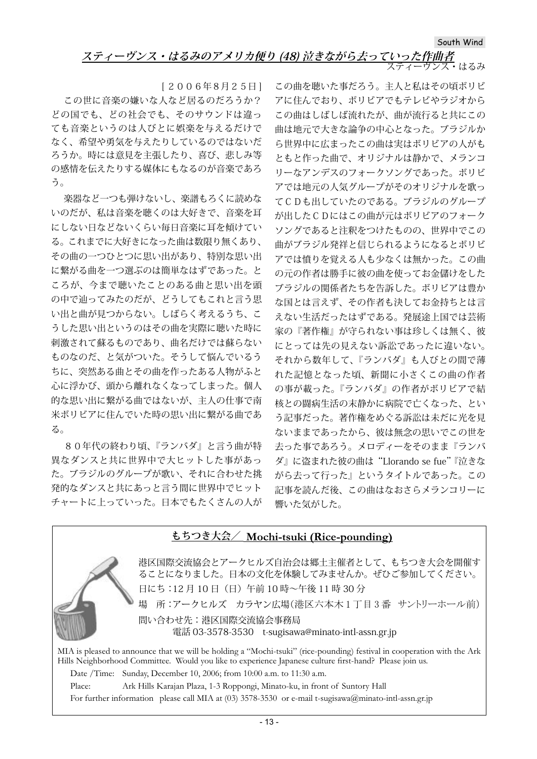**スティーヴンス・はるみのアメリカ便り (48) 泣きながら去っていった作曲者**

スティーヴンス・はるみ

[ 2006年8月25日 ] この世に音楽の嫌いな人など居るのだろうか? どの国でも、どの社会でも、そのサウンドは違っ ても音楽というのは人びとに娯楽を与えるだけで なく、希望や勇気を与えたりしているのではないだ ろうか。時には意見を主張したり、喜び、悲しみ等 の感情を伝えたりする媒体にもなるのが音楽であろ う。

楽器など一つも弾けないし、楽譜もろくに読めな いのだが、私は音楽を聴くのは大好きで、音楽を耳 にしない日などないくらい毎日音楽に耳を傾けてい る。これまでに大好きになった曲は数限り無くあり、 その曲の一つひとつに思い出があり、特別な思い出 に繋がる曲を一つ選ぶのは簡単なはずであった。と ころが、今まで聴いたことのある曲と思い出を頭 の中で辿ってみたのだが、どうしてもこれと言う思 い出と曲が見つからない。しばらく考えるうち、こ うした思い出というのはその曲を実際に聴いた時に 刺激されて蘇るものであり、曲名だけでは蘇らない ものなのだ、と気がついた。そうして悩んでいるう ちに、突然ある曲とその曲を作ったある人物がふと 心に浮かび、頭から離れなくなってしまった。個人 的な思い出に繋がる曲ではないが、主人の仕事で南 米ボリビアに住んでいた時の思い出に繋がる曲であ る。

80年代の終わり頃、『ランバダ』と言う曲が特 異なダンスと共に世界中で大ヒットした事があっ た。ブラジルのグループが歌い、それに合わせた挑 発的なダンスと共にあっと言う間に世界中でヒット チャートに上っていった。日本でもたくさんの人が

この曲を聴いた事だろう。主人と私はその頃ボリビ アに住んでおり、ボリビアでもテレビやラジオから この曲はしばしば流れたが、曲が流行ると共にこの 曲は地元で大きな論争の中心となった。ブラジルか ら世界中に広まったこの曲は実はボリビアの人がも ともと作った曲で、オリジナルは静かで、メランコ リーなアンデスのフォークソングであった。ボリビ アでは地元の人気グループがそのオリジナルを歌っ てCDも出していたのである。ブラジルのグループ が出したCDにはこの曲が元はボリビアのフォーク ソングであると注釈をつけたものの、世界中でこの 曲がブラジル発祥と信じられるようになるとボリビ アでは憤りを覚える人も少なくは無かった。この曲 の元の作者は勝手に彼の曲を使ってお金儲けをした ブラジルの関係者たちを告訴した。ボリビアは豊か な国とは言えず、その作者も決してお金持ちとは言 えない生活だったはずである。発展途上国では芸術 家の『著作権』が守られない事は珍しくは無く、彼 にとっては先の見えない訴訟であったに違いない。 それから数年して、『ランバダ』も人びとの間で薄 れた記憶となった頃、新聞に小さくこの曲の作者 の事が載った。『ランバダ』の作者がボリビアで結 核との闘病生活の末静かに病院で亡くなった、とい う記事だった。著作権をめぐる訴訟は未だに光を見 ないままであったから、彼は無念の思いでこの世を 去った事であろう。メロディーをそのまま『ランバ ダ』に盗まれた彼の曲は"Llorando se fue"『泣きな がら去って行った』というタイトルであった。この 記事を読んだ後、この曲はなおさらメランコリーに 響いた気がした。

# **もちつき大会/ Mochi-tsuki (Rice-pounding)**



Date /Time: Sunday, December 10, 2006; from 10:00 a.m. to 11:30 a.m.

Place: Ark Hills Karajan Plaza, 1-3 Roppongi, Minato-ku, in front of Suntory Hall

For further information please call MIA at (03) 3578-3530 or e-mail t-sugisawa@minato-intl-assn.gr.jp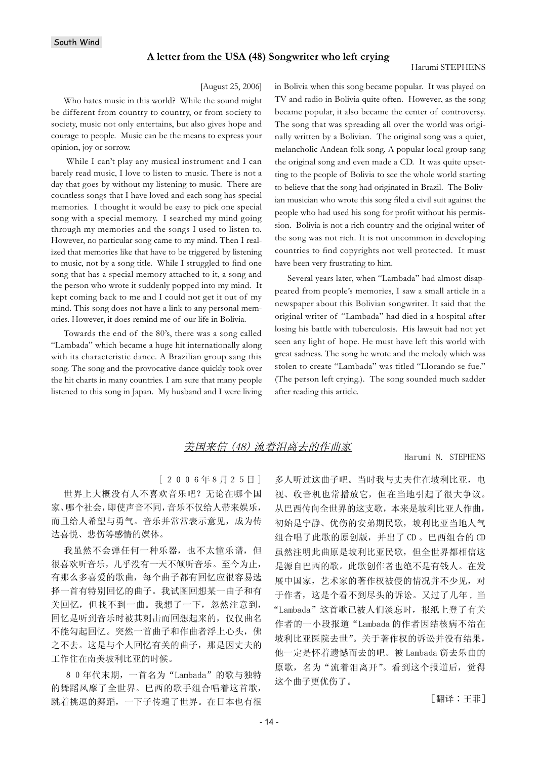#### **A letter from the USA (48) Songwriter who left crying**

#### Harumi STEPHENS

#### [August 25, 2006]

Who hates music in this world? While the sound might be different from country to country, or from society to society, music not only entertains, but also gives hope and courage to people. Music can be the means to express your opinion, joy or sorrow.

 While I can't play any musical instrument and I can barely read music, I love to listen to music. There is not a day that goes by without my listening to music. There are countless songs that I have loved and each song has special memories. I thought it would be easy to pick one special song with a special memory. I searched my mind going through my memories and the songs I used to listen to. However, no particular song came to my mind. Then I realized that memories like that have to be triggered by listening to music, not by a song title. While I struggled to find one song that has a special memory attached to it, a song and the person who wrote it suddenly popped into my mind. It kept coming back to me and I could not get it out of my mind. This song does not have a link to any personal memories. However, it does remind me of our life in Bolivia.

Towards the end of the 80's, there was a song called "Lambada" which became a huge hit internationally along with its characteristic dance. A Brazilian group sang this song. The song and the provocative dance quickly took over the hit charts in many countries. I am sure that many people listened to this song in Japan. My husband and I were living in Bolivia when this song became popular. It was played on TV and radio in Bolivia quite often. However, as the song became popular, it also became the center of controversy. The song that was spreading all over the world was originally written by a Bolivian. The original song was a quiet, melancholic Andean folk song. A popular local group sang the original song and even made a CD. It was quite upsetting to the people of Bolivia to see the whole world starting to believe that the song had originated in Brazil. The Bolivian musician who wrote this song filed a civil suit against the people who had used his song for profit without his permission. Bolivia is not a rich country and the original writer of the song was not rich. It is not uncommon in developing countries to find copyrights not well protected. It must have been very frustrating to him.

Several years later, when "Lambada" had almost disappeared from people's memories, I saw a small article in a newspaper about this Bolivian songwriter. It said that the original writer of "Lambada" had died in a hospital after losing his battle with tuberculosis. His lawsuit had not yet seen any light of hope. He must have left this world with great sadness. The song he wrote and the melody which was stolen to create "Lambada" was titled "Llorando se fue." (The person left crying.). The song sounded much sadder after reading this article.

## 美国来信 (48) 流着泪离去的作曲家

Harumi N. STEPHENS

 $[200648]25]$ 

世界上大概没有人不喜欢音乐吧? 无论在哪个国 家、哪个社会,即使声音不同,音乐不仅给人带来娱乐, 而且给人希望与勇气。音乐并常常表示意见, 成为传 达喜悦、悲伤等感情的媒体。

我虽然不会弹任何一种乐器, 也不太憧乐谱, 但 很喜欢听音乐, 几乎没有一天不倾听音乐。至今为止, 有那么多喜爱的歌曲, 每个曲子都有回忆应很容易选 择一首有特别回忆的曲子。我试图回想某一曲子和有 关回忆, 但找不到一曲。我想了一下, 忽然注意到, 回忆是听到音乐时被其刺击而回想起来的, 仅仅曲名 不能勾起回忆。突然一首曲子和作曲者浮上心头,佛 之不去。这是与个人回忆有关的曲子, 那是因丈夫的 工作住在南美坡利比亚的时候。

8 0年代末期, 一首名为"Lambada"的歌与独特 的舞蹈风摩了全世界。巴西的歌手组合唱着这首歌, 跳着挑逗的舞蹈, 一下子传遍了世界。在日本也有很

多人听过这曲子吧。当时我与丈夫住在坡利比亚, 电 视、收音机也常播放它,但在当地引起了很大争议。 从巴西传向全世界的这支歌,本来是坡利比亚人作曲, 初始是宁静、优伤的安弟期民歌, 坡利比亚当地人气 组合唱了此歌的原创版,并出了CD。巴西组合的CD 虽然注明此曲原是坡利比亚民歌, 但全世界都相信这 是源自巴西的歌。此歌创作者也绝不是有钱人。在发 展中国家,艺术家的著作权被侵的情况并不少见,对 于作者, 这是个看不到尽头的诉讼。又过了几年, 当 "Lambada"这首歌已被人们淡忘时, 报纸上登了有关 作者的一小段报道"Lambada 的作者因结核病不治在 坡利比亚医院去世"。关于著作权的诉讼并没有结果, 他一定是怀着遗憾而去的吧。被 Lambada 窃去乐曲的 原歌,名为"流着泪离开"。看到这个报道后,觉得 这个曲子更优伤了。

[翻译:王菲]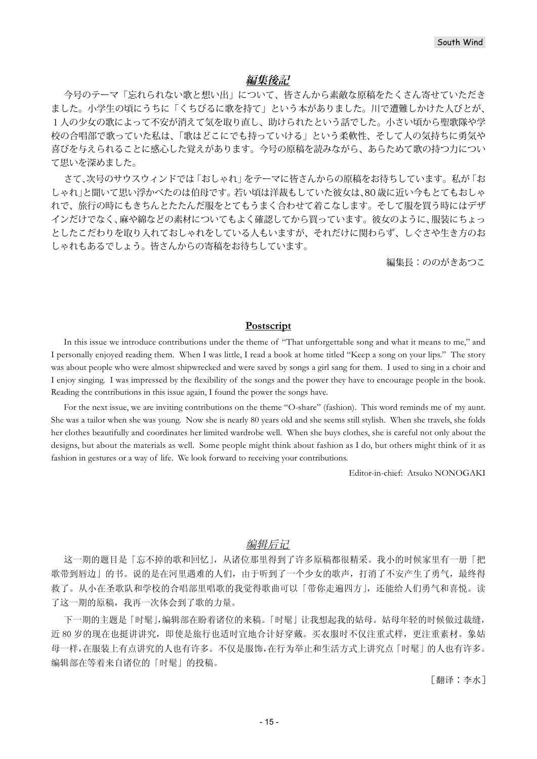## **編集後記**

今号のテーマ「忘れられない歌と想い出」について、皆さんから素敵な原稿をたくさん寄せていただき ました。小学生の頃にうちに「くちびるに歌を持て」という本がありました。川で遭難しかけた人びとが、 1人の少女の歌によって不安が消えて気を取り直し、助けられたという話でした。小さい頃から聖歌隊や学 校の合唱部で歌っていた私は、「歌はどこにでも持っていける」という柔軟性、そして人の気持ちに勇気や 喜びを与えられることに感心した覚えがあります。今号の原稿を読みながら、あらためて歌の持つ力につい て思いを深めました。

さて、次号のサウスウィンドでは「おしゃれ」をテーマに皆さんからの原稿をお待ちしています。私が「お しゃれ」と聞いて思い浮かべたのは伯母です。若い頃は洋裁もしていた彼女は、80 歳に近い今もとてもおしゃ れで、旅行の時にもきちんとたたんだ服をとてもうまく合わせて着こなします。そして服を買う時にはデザ インだけでなく、麻や綿などの素材についてもよく確認してから買っています。彼女のように、服装にちょっ としたこだわりを取り入れておしゃれをしている人もいますが、それだけに関わらず、しぐさや生き方のお しゃれもあるでしょう。皆さんからの寄稿をお待ちしています。

編集長:ののがきあつこ

#### **Postscript**

In this issue we introduce contributions under the theme of "That unforgettable song and what it means to me," and I personally enjoyed reading them. When I was little, I read a book at home titled "Keep a song on your lips." The story was about people who were almost shipwrecked and were saved by songs a girl sang for them. I used to sing in a choir and I enjoy singing. I was impressed by the flexibility of the songs and the power they have to encourage people in the book. Reading the contributions in this issue again, I found the power the songs have.

For the next issue, we are inviting contributions on the theme "O-share" (fashion). This word reminds me of my aunt. She was a tailor when she was young. Now she is nearly 80 years old and she seems still stylish. When she travels, she folds her clothes beautifully and coordinates her limited wardrobe well. When she buys clothes, she is careful not only about the designs, but about the materials as well. Some people might think about fashion as I do, but others might think of it as fashion in gestures or a way of life. We look forward to receiving your contributions.

Editor-in-chief: Atsuko NONOGAKI

## 编辑后记

这一期的题目是「忘不掉的歌和回忆」,从诸位那里得到了许多原稿都很精采。我小的时候家里有一册「把 歌带到唇边」的书。说的是在河里遇难的人们,由于听到了一个少女的歌声,打消了不安产生了勇气,最终得 救了。从小在圣歌队和学校的合唱部里唱歌的我觉得歌曲可以「带你走遍四方」,还能给人们勇气和喜悦。读 了这一期的原稿,我再一次体会到了歌的力量。

下一期的主题是「时髦」,编辑部在盼着诸位的来稿。「时髦」让我想起我的姑母。姑母年轻的时候做过裁缝, 近 80 岁的现在也挺讲讲究,即使是旅行也适时宜地合计好穿戴。买衣服时不仅注重式样,更注重素材。象姑 母一样,在服装上有点讲究的人也有许多。不仅是服饰,在行为举止和生活方式上讲究点「时髦」的人也有许多。 编辑部在等着来自诸位的「时髦」的投稿。

「翻译:李水ヿ